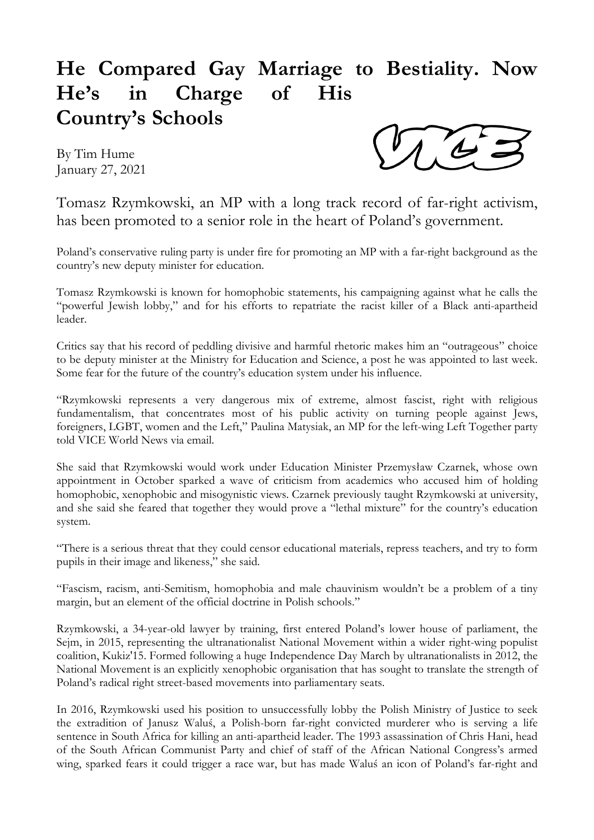## **He Compared Gay Marriage to Bestiality. Now He's in Charge of His Country's Schools**

By Tim Hume January 27, 2021



Tomasz Rzymkowski, an MP with a long track record of far-right activism, has been promoted to a senior role in the heart of Poland's government.

Poland's conservative ruling party is under fire for promoting an MP with a far-right background as the country's new deputy minister for education.

Tomasz Rzymkowski is known for homophobic statements, his campaigning against what he calls the "powerful Jewish lobby," and for his efforts to repatriate the racist killer of a Black anti-apartheid leader.

Critics say that his record of peddling divisive and harmful rhetoric makes him an "outrageous" choice to be deputy minister at the Ministry for Education and Science, a post he was appointed to last week. Some fear for the future of the country's education system under his influence.

"Rzymkowski represents a very dangerous mix of extreme, almost fascist, right with religious fundamentalism, that concentrates most of his public activity on turning people against Jews, foreigners, LGBT, women and the Left," Paulina Matysiak, an MP for the left-wing Left Together party told VICE World News via email.

She said that Rzymkowski would work under Education Minister Przemysław Czarnek, whose own appointment in October sparked a wave of criticism from academics who accused him of holding homophobic, xenophobic and misogynistic views. Czarnek previously taught Rzymkowski at university, and she said she feared that together they would prove a "lethal mixture" for the country's education system.

"There is a serious threat that they could censor educational materials, repress teachers, and try to form pupils in their image and likeness," she said.

"Fascism, racism, anti-Semitism, homophobia and male chauvinism wouldn't be a problem of a tiny margin, but an element of the official doctrine in Polish schools."

Rzymkowski, a 34-year-old lawyer by training, first entered Poland's lower house of parliament, the Sejm, in 2015, representing the ultranationalist National Movement within a wider right-wing populist coalition, Kukiz'15. Formed following a huge Independence Day March by ultranationalists in 2012, the National Movement is an explicitly xenophobic organisation that has sought to translate the strength of Poland's radical right street-based movements into parliamentary seats.

In 2016, Rzymkowski used his position to unsuccessfully lobby the Polish Ministry of Justice to seek the extradition of Janusz Waluś, a Polish-born far-right convicted murderer who is serving a life sentence in South Africa for killing an anti-apartheid leader. The 1993 assassination of Chris Hani, head of the South African Communist Party and chief of staff of the African National Congress's armed wing, sparked fears it could trigger a race war, but has made Waluś an icon of Poland's far-right and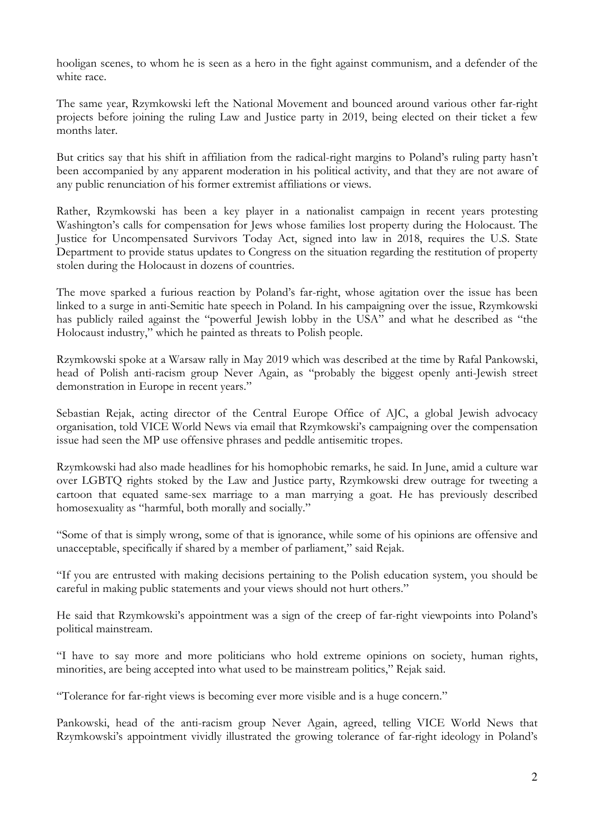hooligan scenes, to whom he is seen as a hero in the fight against communism, and a defender of the white race.

The same year, Rzymkowski left the National Movement and bounced around various other far-right projects before joining the ruling Law and Justice party in 2019, being elected on their ticket a few months later.

But critics say that his shift in affiliation from the radical-right margins to Poland's ruling party hasn't been accompanied by any apparent moderation in his political activity, and that they are not aware of any public renunciation of his former extremist affiliations or views.

Rather, Rzymkowski has been a key player in a nationalist campaign in recent years protesting Washington's calls for compensation for Jews whose families lost property during the Holocaust. The Justice for Uncompensated Survivors Today Act, signed into law in 2018, requires the U.S. State Department to provide status updates to Congress on the situation regarding the restitution of property stolen during the Holocaust in dozens of countries.

The move sparked a furious reaction by Poland's far-right, whose agitation over the issue has been linked to a surge in anti-Semitic hate speech in Poland. In his campaigning over the issue, Rzymkowski has publicly railed against the "powerful Jewish lobby in the USA" and what he described as "the Holocaust industry," which he painted as threats to Polish people.

Rzymkowski spoke at a Warsaw rally in May 2019 which was described at the time by Rafal Pankowski, head of Polish anti-racism group Never Again, as "probably the biggest openly anti-Jewish street demonstration in Europe in recent years."

Sebastian Rejak, acting director of the Central Europe Office of AJC, a global Jewish advocacy organisation, told VICE World News via email that Rzymkowski's campaigning over the compensation issue had seen the MP use offensive phrases and peddle antisemitic tropes.

Rzymkowski had also made headlines for his homophobic remarks, he said. In June, amid a culture war over LGBTQ rights stoked by the Law and Justice party, Rzymkowski drew outrage for tweeting a cartoon that equated same-sex marriage to a man marrying a goat. He has previously described homosexuality as "harmful, both morally and socially."

"Some of that is simply wrong, some of that is ignorance, while some of his opinions are offensive and unacceptable, specifically if shared by a member of parliament," said Rejak.

"If you are entrusted with making decisions pertaining to the Polish education system, you should be careful in making public statements and your views should not hurt others."

He said that Rzymkowski's appointment was a sign of the creep of far-right viewpoints into Poland's political mainstream.

"I have to say more and more politicians who hold extreme opinions on society, human rights, minorities, are being accepted into what used to be mainstream politics," Rejak said.

"Tolerance for far-right views is becoming ever more visible and is a huge concern."

Pankowski, head of the anti-racism group Never Again, agreed, telling VICE World News that Rzymkowski's appointment vividly illustrated the growing tolerance of far-right ideology in Poland's